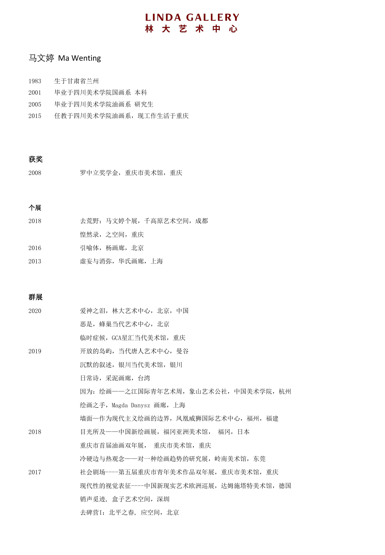## 马文婷 Ma Wenting

- 1983 生于甘肃省兰州
- 2001 毕业于四川美术学院国画系 本科
- 2005 毕业于四川美术学院油画系 研究生
- 2015 任教于四川美术学院油画系,现工作生活于重庆

#### 获奖

2008 罗中立奖学金,重庆市美术馆,重庆

## 个展

| 2018 | 去荒野: 马文婷个展, 千高原艺术空间, 成都 |
|------|-------------------------|
|      | 惶然录,之空间,重庆              |
| 2016 | 引喻体,杨画廊,北京              |
| 2013 | 虚妄与消弥, 华氏画廊, 上海         |

### 群展

| 2020 | 爱神之泪, 林大艺术中心, 北京, 中国                |
|------|-------------------------------------|
|      | 恶是,蜂巢当代艺术中心,北京                      |
|      | 临时症候, GCA星汇当代美术馆, 重庆                |
| 2019 | 开放的岛屿, 当代唐人艺术中心, 曼谷                 |
|      | 沉默的叙述,银川当代美术馆,银川                    |
|      | 日常诗, 采泥画廊, 台湾                       |
|      | 因为:绘画——之江国际青年艺术周,象山艺术公社,中国美术学院,杭州   |
|      | 绘画之手,Magda Danysz 画廊,上海             |
|      | 墙面一作为现代主义绘画的边界, 凤凰威狮国际艺术中心, 福州, 福建  |
| 2018 | 目光所及——中国新绘画展,福冈亚洲美术馆, 福冈,日本         |
|      | 重庆市首届油画双年展, 重庆市美术馆, 重庆              |
|      | 冷硬边与热观念——对一种绘画趋势的研究展, 岭南美术馆, 东莞     |
| 2017 | 社会剧场----第五届重庆市青年美术作品双年展,重庆市美术馆,重庆   |
|      | 现代性的视觉表征----中国新现实艺术欧洲巡展,达姆施塔特美术馆,德国 |
|      | 销声觅迹, 盒子艺术空间, 深圳                    |
|      | 去碑营I: 北平之春, 应空间, 北京                 |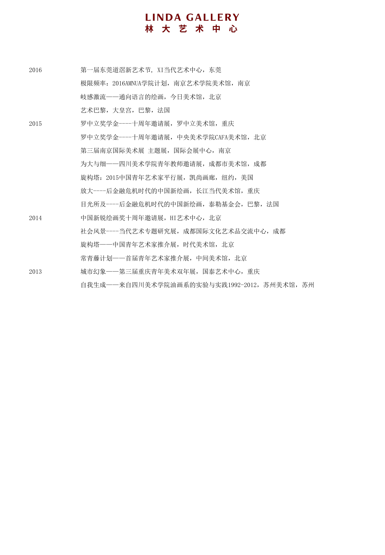- 2016 第一届东莞道滘新艺术节, XI当代艺术中心, 东莞 极限频率:2016AMNUA学院计划,南京艺术学院美术馆,南京 岐感激流——通向语言的绘画,今日美术馆,北京 艺术巴黎,大皇宫,巴黎,法国 2015 罗中立奖学金----十周年邀请展,罗中立美术馆,重庆 罗中立奖学金----十周年邀请展,中央美术学院CAFA美术馆,北京 第三届南京国际美术展 主题展,国际会展中心,南京 为大与细——四川美术学院青年教师邀请展,成都市美术馆,成都 旋构塔:2015中国青年艺术家平行展,凯尚画廊,纽约,美国 放大----后金融危机时代的中国新绘画,长江当代美术馆,重庆 目光所及----后金融危机时代的中国新绘画,泰勒基金会,巴黎,法国 2014 **中国新锐绘画奖十周年邀请展, HI艺术中心, 北京** 社会风景----当代艺术专题研究展,成都国际文化艺术品交流中心,成都 旋构塔——中国青年艺术家推介展,时代美术馆,北京 常青藤计划——首届青年艺术家推介展,中间美术馆,北京 2013 城市幻象——第三届重庆青年美术双年展,国泰艺术中心,重庆
	- 自我生成——来自四川美术学院油画系的实验与实践1992-2012,苏州美术馆,苏州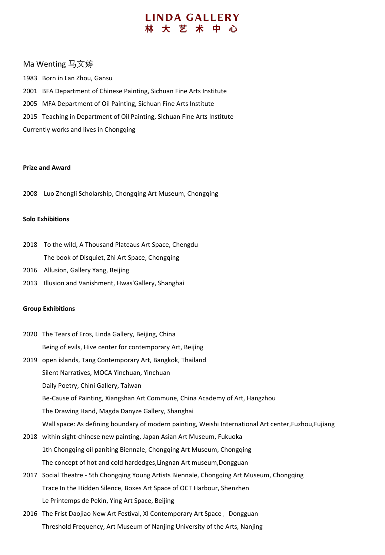#### Ma Wenting 马文婷

1983 Born in Lan Zhou, Gansu 2001 BFA Department of Chinese Painting, Sichuan Fine Arts Institute 2005 MFA Department of Oil Painting, Sichuan Fine Arts Institute 2015 Teaching in Department of Oil Painting, Sichuan Fine Arts Institute Currently works and lives in Chongqing

#### **Prize and Award**

2008 Luo Zhongli Scholarship, Chongqing Art Museum, Chongqing

#### **Solo Exhibitions**

- 2018 To the wild, A Thousand Plateaus Art Space, Chengdu The book of Disquiet, Zhi Art Space, Chongqing
- 2016 Allusion, Gallery Yang, Beijing
- 2013 Illusion and Vanishment, Hwas'Gallery, Shanghai

#### **Group Exhibitions**

- 2020 The Tears of Eros, Linda Gallery, Beijing, China Being of evils, Hive center for contemporary Art, Beijing
- 2019 open islands, Tang Contemporary Art, Bangkok, Thailand Silent Narratives, MOCA Yinchuan, Yinchuan Daily Poetry, Chini Gallery, Taiwan Be-Cause of Painting, Xiangshan Art Commune, China Academy of Art, Hangzhou The Drawing Hand, Magda Danyze Gallery, Shanghai Wall space: As defining boundary of modern painting, Weishi International Art center,Fuzhou,Fujiang
- 2018 within sight-chinese new painting, Japan Asian Art Museum, Fukuoka 1th Chongqing oil paniting Biennale, Chongqing Art Museum, Chongqing The concept of hot and cold hardedges,Lingnan Art museum,Dongguan
- 2017 Social Theatre 5th Chongqing Young Artists Biennale, Chongqing Art Museum, Chongqing Trace In the Hidden Silence, Boxes Art Space of OCT Harbour, Shenzhen Le Printemps de Pekin, Ying Art Space, Beijing
- 2016 The Frist Daojiao New Art Festival, XI Contemporary Art Space, Dongguan Threshold Frequency, Art Museum of Nanjing University of the Arts, Nanjing